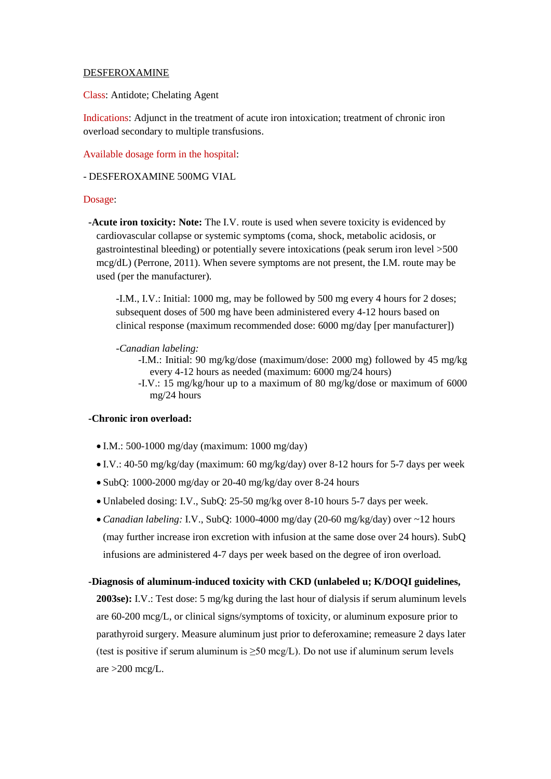### DESFEROXAMINE

Class: Antidote; Chelating Agent

Indications: Adjunct in the treatment of acute iron intoxication; treatment of chronic iron overload secondary to multiple transfusions.

Available dosage form in the hospital:

### - DESFEROXAMINE 500MG VIAL

#### Dosage:

 **-Acute iron toxicity: Note:** The I.V. route is used when severe toxicity is evidenced by cardiovascular collapse or systemic symptoms (coma, shock, metabolic acidosis, or gastrointestinal bleeding) or potentially severe intoxications (peak serum iron level >500 mcg/dL) (Perrone, 2011). When severe symptoms are not present, the I.M. route may be used (per the manufacturer).

-I.M., I.V.: Initial: 1000 mg, may be followed by 500 mg every 4 hours for 2 doses; subsequent doses of 500 mg have been administered every 4-12 hours based on clinical response (maximum recommended dose: 6000 mg/day [per manufacturer])

### *-Canadian labeling:*

-I.M.: Initial: 90 mg/kg/dose (maximum/dose: 2000 mg) followed by 45 mg/kg every 4-12 hours as needed (maximum: 6000 mg/24 hours)

-I.V.: 15 mg/kg/hour up to a maximum of 80 mg/kg/dose or maximum of 6000 mg/24 hours

## **-Chronic iron overload:**

- $\bullet$  I.M.: 500-1000 mg/day (maximum: 1000 mg/day)
- I.V.: 40-50 mg/kg/day (maximum: 60 mg/kg/day) over 8-12 hours for 5-7 days per week
- SubQ: 1000-2000 mg/day or 20-40 mg/kg/day over 8-24 hours
- Unlabeled dosing: I.V., SubQ: 25-50 mg/kg over 8-10 hours 5-7 days per week.
- *Canadian labeling:* I.V., SubQ: 1000-4000 mg/day (20-60 mg/kg/day) over ~12 hours (may further increase iron excretion with infusion at the same dose over 24 hours). SubQ infusions are administered 4-7 days per week based on the degree of iron overload.

#### **-Diagnosis of aluminum-induced toxicity with CKD (unlabeled u; K/DOQI guidelines,**

**2003se):** I.V.: Test dose: 5 mg/kg during the last hour of dialysis if serum aluminum levels are 60-200 mcg/L, or clinical signs/symptoms of toxicity, or aluminum exposure prior to parathyroid surgery. Measure aluminum just prior to deferoxamine; remeasure 2 days later (test is positive if serum aluminum is  $\geq$ 50 mcg/L). Do not use if aluminum serum levels are  $>200$  mcg/L.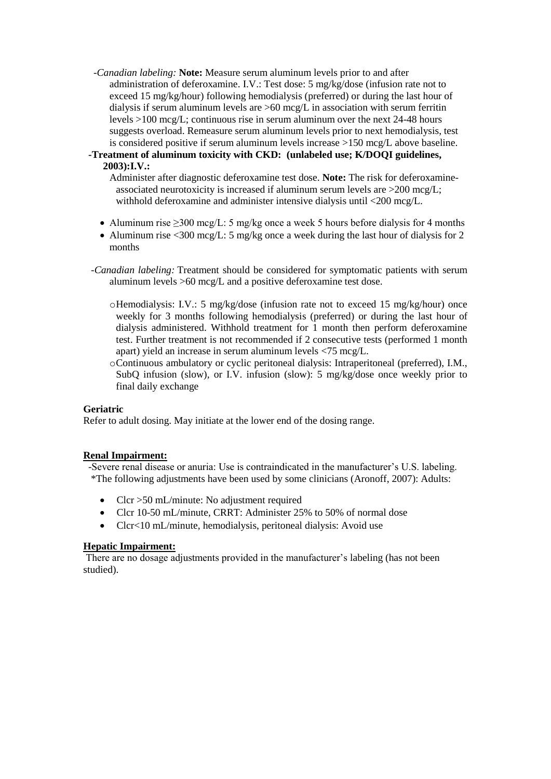- *-Canadian labeling:* **Note:** Measure serum aluminum levels prior to and after administration of deferoxamine. I.V.: Test dose: 5 mg/kg/dose (infusion rate not to exceed 15 mg/kg/hour) following hemodialysis (preferred) or during the last hour of dialysis if serum aluminum levels are >60 mcg/L in association with serum ferritin levels >100 mcg/L; continuous rise in serum aluminum over the next 24-48 hours suggests overload. Remeasure serum aluminum levels prior to next hemodialysis, test is considered positive if serum aluminum levels increase >150 mcg/L above baseline.
- **-Treatment of aluminum toxicity with CKD: (unlabeled use; K/DOQI guidelines, 2003):I.V.:**

Administer after diagnostic deferoxamine test dose. **Note:** The risk for deferoxamineassociated neurotoxicity is increased if aluminum serum levels are >200 mcg/L; withhold deferoxamine and administer intensive dialysis until <200 mcg/L.

- Aluminum rise  $>300$  mcg/L: 5 mg/kg once a week 5 hours before dialysis for 4 months
- Aluminum rise  $\langle 300 \text{ mcg/L}$ : 5 mg/kg once a week during the last hour of dialysis for 2 months
- *-Canadian labeling:* Treatment should be considered for symptomatic patients with serum aluminum levels >60 mcg/L and a positive deferoxamine test dose.
	- oHemodialysis: I.V.: 5 mg/kg/dose (infusion rate not to exceed 15 mg/kg/hour) once weekly for 3 months following hemodialysis (preferred) or during the last hour of dialysis administered. Withhold treatment for 1 month then perform deferoxamine test. Further treatment is not recommended if 2 consecutive tests (performed 1 month apart) yield an increase in serum aluminum levels <75 mcg/L.

oContinuous ambulatory or cyclic peritoneal dialysis: Intraperitoneal (preferred), I.M., SubQ infusion (slow), or I.V. infusion (slow): 5 mg/kg/dose once weekly prior to final daily exchange

## **Geriatric**

Refer to adult dosing. May initiate at the lower end of the dosing range.

## **Renal Impairment:**

 -Severe renal disease or anuria: Use is contraindicated in the manufacturer's U.S. labeling. \*The following adjustments have been used by some clinicians (Aronoff, 2007): Adults:

- Clcr > 50 mL/minute: No adjustment required
- Clcr 10-50 mL/minute, CRRT: Administer 25% to 50% of normal dose
- Clcr<10 mL/minute, hemodialysis, peritoneal dialysis: Avoid use

## **Hepatic Impairment:**

There are no dosage adjustments provided in the manufacturer's labeling (has not been studied).